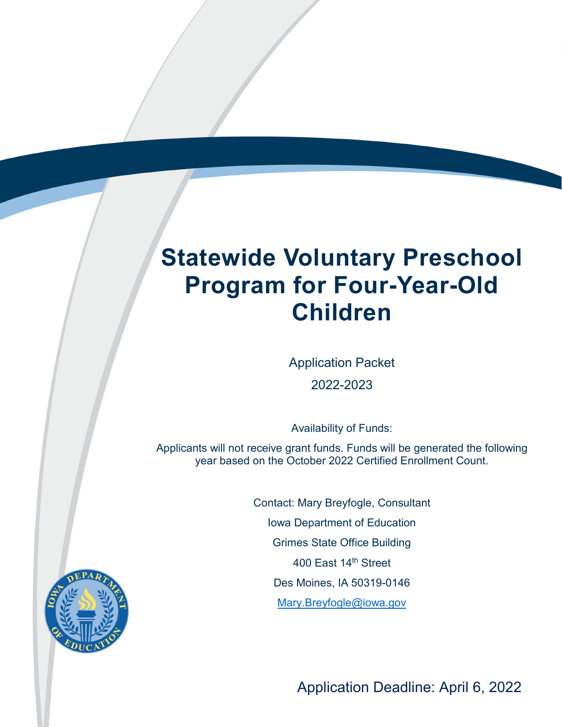# **Statewide Voluntary Preschool Program for Four-Year-Old Children**

Statewide Voluntary Preschool Program Application Packet

Application Packet 2022-2023

Availability of Funds:

Applicants will not receive grant funds. Funds will be generated the following year based on the October 2022 Certified Enrollment Count.

> Contact: Mary Breyfogle, Consultant Iowa Department of Education Grimes State Office Building 400 East 14th Street Des Moines, IA 50319-0146 [Mary.Breyfogle@iowa.gov](mailto:Jennifer.Adkins@iowa.gov)



Application Deadline: April 6, 2022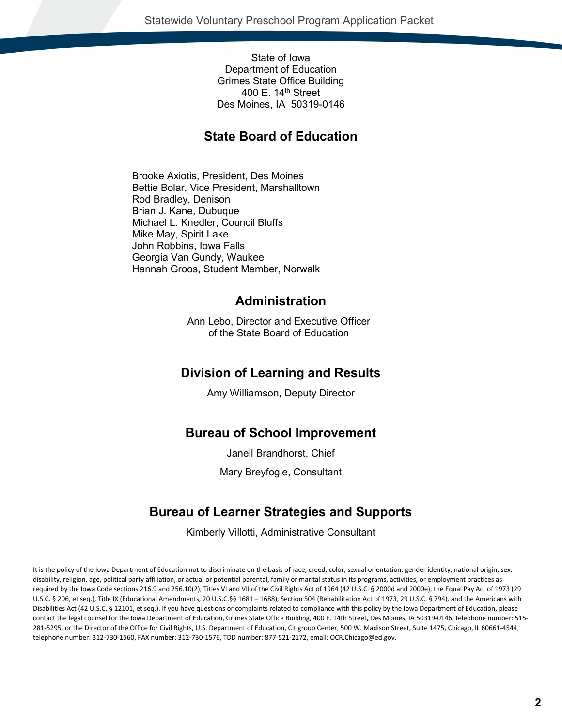State of Iowa Department of Education Grimes State Office Building 400 E.  $14<sup>th</sup>$  Street Des Moines, IA 50319-0146

### **State Board of Education**

Brooke Axiotis, President, Des Moines Bettie Bolar, Vice President, Marshalltown Rod Bradley, Denison Brian J. Kane, Dubuque Michael L. Knedler, Council Bluffs Mike May, Spirit Lake John Robbins, Iowa Falls Georgia Van Gundy, Waukee Hannah Groos, Student Member, Norwalk

### **Administration**

Ann Lebo, Director and Executive Officer of the State Board of Education

### **Division of Learning and Results**

Amy Williamson, Deputy Director

### **Bureau of School Improvement**

Janell Brandhorst, Chief Mary Breyfogle, Consultant

## **Bureau of Learner Strategies and Supports**

Kimberly Villotti, Administrative Consultant

It is the policy of the Iowa Department of Education not to discriminate on the basis of race, creed, color, sexual orientation, gender identity, national origin, sex, disability, religion, age, political party affiliation, or actual or potential parental, family or marital status in its programs, activities, or employment practices as required by the Iowa Code sections 216.9 and 256.10(2), Titles VI and VII of the Civil Rights Act of 1964 (42 U.S.C. § 2000d and 2000e), the Equal Pay Act of 1973 (29 U.S.C. § 206, et seq.), Title IX (Educational Amendments, 20 U.S.C.§§ 1681 – 1688), Section 504 (Rehabilitation Act of 1973, 29 U.S.C. § 794), and the Americans with Disabilities Act (42 U.S.C. § 12101, et seq.). If you have questions or complaints related to compliance with this policy by the Iowa Department of Education, please contact the legal counsel for the Iowa Department of Education, Grimes State Office Building, 400 E. 14th Street, Des Moines, IA 50319-0146, telephone number: 515- 281-5295, or the Director of the Office for Civil Rights, U.S. Department of Education, Citigroup Center, 500 W. Madison Street, Suite 1475, Chicago, IL 60661-4544, telephone number: 312-730-1560, FAX number: 312-730-1576, TDD number: 877-521-2172, email: OCR.Chicago@ed.gov.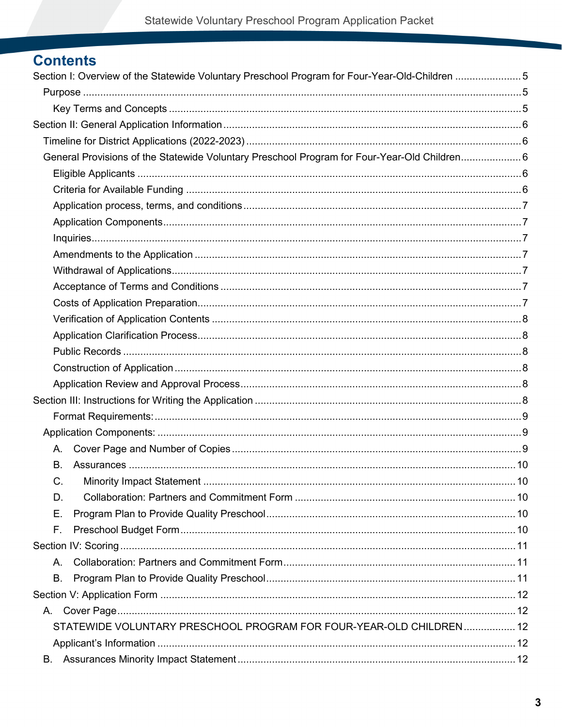## **Contents**

| Section I: Overview of the Statewide Voluntary Preschool Program for Four-Year-Old-Children 5 |  |
|-----------------------------------------------------------------------------------------------|--|
|                                                                                               |  |
|                                                                                               |  |
|                                                                                               |  |
|                                                                                               |  |
| General Provisions of the Statewide Voluntary Preschool Program for Four-Year-Old Children 6  |  |
|                                                                                               |  |
|                                                                                               |  |
|                                                                                               |  |
|                                                                                               |  |
|                                                                                               |  |
|                                                                                               |  |
|                                                                                               |  |
|                                                                                               |  |
|                                                                                               |  |
|                                                                                               |  |
|                                                                                               |  |
|                                                                                               |  |
|                                                                                               |  |
|                                                                                               |  |
|                                                                                               |  |
|                                                                                               |  |
|                                                                                               |  |
| А.                                                                                            |  |
| <b>B.</b>                                                                                     |  |
| С.                                                                                            |  |
| D.                                                                                            |  |
| Ε.                                                                                            |  |
| F.                                                                                            |  |
|                                                                                               |  |
| Α.                                                                                            |  |
| В.                                                                                            |  |
|                                                                                               |  |
| A.                                                                                            |  |
| STATEWIDE VOLUNTARY PRESCHOOL PROGRAM FOR FOUR-YEAR-OLD CHILDREN 12                           |  |
|                                                                                               |  |
| В.                                                                                            |  |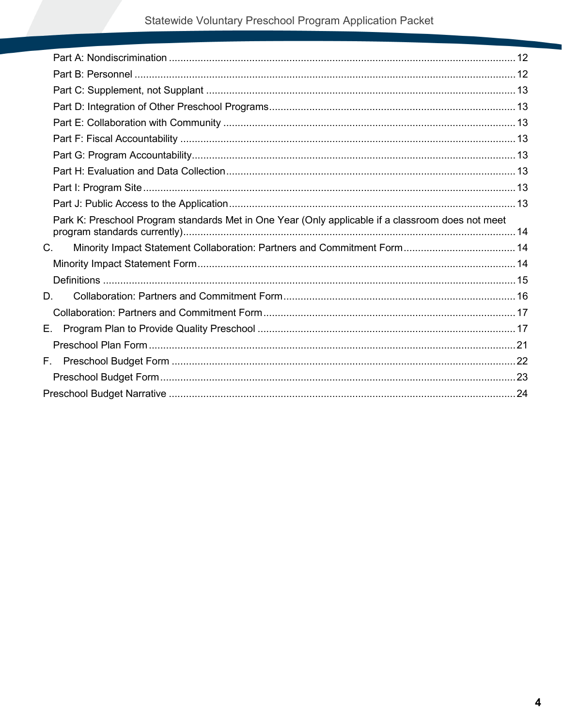|    | Park K: Preschool Program standards Met in One Year (Only applicable if a classroom does not meet |  |
|----|---------------------------------------------------------------------------------------------------|--|
| С. |                                                                                                   |  |
|    |                                                                                                   |  |
|    |                                                                                                   |  |
| D. |                                                                                                   |  |
|    |                                                                                                   |  |
| Е. |                                                                                                   |  |
|    |                                                                                                   |  |
|    |                                                                                                   |  |
|    |                                                                                                   |  |
|    |                                                                                                   |  |
|    |                                                                                                   |  |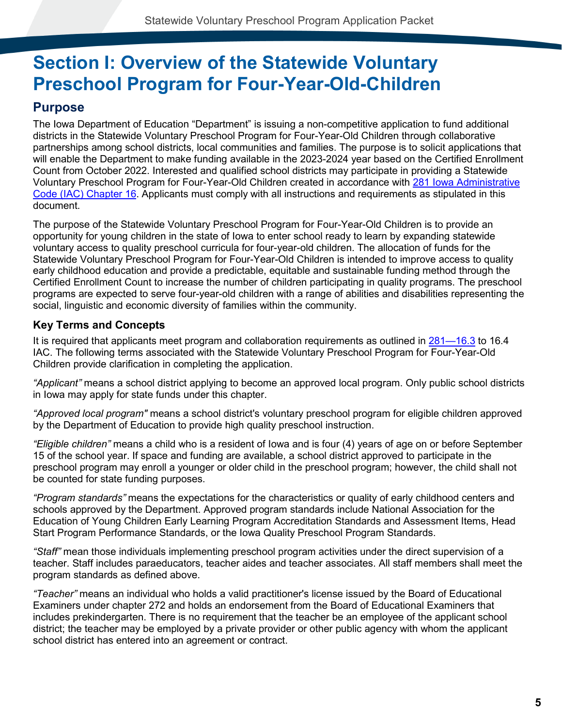## <span id="page-4-0"></span>**Section I: Overview of the Statewide Voluntary Preschool Program for Four-Year-Old-Children**

## <span id="page-4-1"></span>**Purpose**

The Iowa Department of Education "Department" is issuing a non-competitive application to fund additional districts in the Statewide Voluntary Preschool Program for Four-Year-Old Children through collaborative partnerships among school districts, local communities and families. The purpose is to solicit applications that will enable the Department to make funding available in the 2023-2024 year based on the Certified Enrollment Count from October 2022. Interested and qualified school districts may participate in providing a Statewide Voluntary Preschool Program for Four-Year-Old Children created in accordance with [281 Iowa Administrative](http://www.legis.iowa.gov/DOCS/ACO/IAC/LINC/Chapter.281.16.pdf)  [Code \(IAC\) Chapter 16.](http://www.legis.iowa.gov/DOCS/ACO/IAC/LINC/Chapter.281.16.pdf) Applicants must comply with all instructions and requirements as stipulated in this document.

The purpose of the Statewide Voluntary Preschool Program for Four-Year-Old Children is to provide an opportunity for young children in the state of Iowa to enter school ready to learn by expanding statewide voluntary access to quality preschool curricula for four-year-old children. The allocation of funds for the Statewide Voluntary Preschool Program for Four-Year-Old Children is intended to improve access to quality early childhood education and provide a predictable, equitable and sustainable funding method through the Certified Enrollment Count to increase the number of children participating in quality programs. The preschool programs are expected to serve four-year-old children with a range of abilities and disabilities representing the social, linguistic and economic diversity of families within the community.

### <span id="page-4-2"></span>**Key Terms and Concepts**

It is required that applicants meet program and collaboration requirements as outlined in [281—16.3](http://www.legis.iowa.gov/DOCS/ACO/IAC/LINC/Chapter.281.16.pdf) to 16.4 IAC. The following terms associated with the Statewide Voluntary Preschool Program for Four-Year-Old Children provide clarification in completing the application.

*"Applicant"* means a school district applying to become an approved local program. Only public school districts in Iowa may apply for state funds under this chapter.

*"Approved local program"* means a school district's voluntary preschool program for eligible children approved by the Department of Education to provide high quality preschool instruction.

*"Eligible children"* means a child who is a resident of Iowa and is four (4) years of age on or before September 15 of the school year. If space and funding are available, a school district approved to participate in the preschool program may enroll a younger or older child in the preschool program; however, the child shall not be counted for state funding purposes.

*"Program standards"* means the expectations for the characteristics or quality of early childhood centers and schools approved by the Department. Approved program standards include National Association for the Education of Young Children Early Learning Program Accreditation Standards and Assessment Items, Head Start Program Performance Standards, or the Iowa Quality Preschool Program Standards.

*"Staff"* mean those individuals implementing preschool program activities under the direct supervision of a teacher. Staff includes paraeducators, teacher aides and teacher associates. All staff members shall meet the program standards as defined above.

*"Teacher"* means an individual who holds a valid practitioner's license issued by the Board of Educational Examiners under chapter 272 and holds an endorsement from the Board of Educational Examiners that includes prekindergarten. There is no requirement that the teacher be an employee of the applicant school district; the teacher may be employed by a private provider or other public agency with whom the applicant school district has entered into an agreement or contract.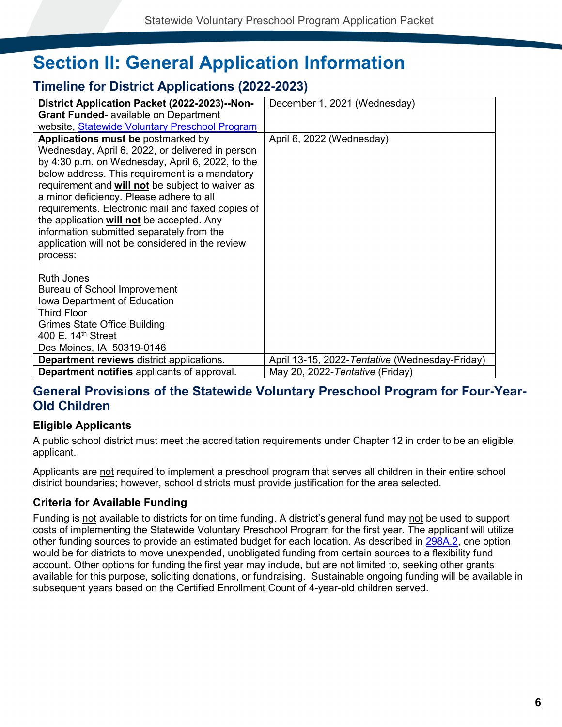## <span id="page-5-0"></span>**Section II: General Application Information**

## <span id="page-5-1"></span>**Timeline for District Applications (2022-2023)**

| District Application Packet (2022-2023)--Non-                                          | December 1, 2021 (Wednesday)                   |
|----------------------------------------------------------------------------------------|------------------------------------------------|
| <b>Grant Funded-</b> available on Department                                           |                                                |
| website, Statewide Voluntary Preschool Program                                         |                                                |
| Applications must be postmarked by                                                     | April 6, 2022 (Wednesday)                      |
| Wednesday, April 6, 2022, or delivered in person                                       |                                                |
| by $4:30$ p.m. on Wednesday, April 6, 2022, to the                                     |                                                |
| below address. This requirement is a mandatory                                         |                                                |
| requirement and <b>will not</b> be subject to waiver as                                |                                                |
| a minor deficiency. Please adhere to all                                               |                                                |
| requirements. Electronic mail and faxed copies of                                      |                                                |
| the application will not be accepted. Any<br>information submitted separately from the |                                                |
| application will not be considered in the review                                       |                                                |
| process:                                                                               |                                                |
|                                                                                        |                                                |
| <b>Ruth Jones</b>                                                                      |                                                |
| Bureau of School Improvement                                                           |                                                |
| Iowa Department of Education                                                           |                                                |
| <b>Third Floor</b>                                                                     |                                                |
| <b>Grimes State Office Building</b>                                                    |                                                |
| 400 E. $14th$ Street                                                                   |                                                |
| Des Moines, IA 50319-0146                                                              |                                                |
| <b>Department reviews district applications.</b>                                       | April 13-15, 2022-Tentative (Wednesday-Friday) |
| <b>Department notifies</b> applicants of approval.                                     | May 20, 2022-Tentative (Friday)                |

### <span id="page-5-2"></span>**General Provisions of the Statewide Voluntary Preschool Program for Four-Year-Old Children**

### <span id="page-5-3"></span>**Eligible Applicants**

A public school district must meet the accreditation requirements under Chapter 12 in order to be an eligible applicant.

Applicants are not required to implement a preschool program that serves all children in their entire school district boundaries; however, school districts must provide justification for the area selected.

### <span id="page-5-4"></span>**Criteria for Available Funding**

Funding is not available to districts for on time funding. A district's general fund may not be used to support costs of implementing the Statewide Voluntary Preschool Program for the first year. The applicant will utilize other funding sources to provide an estimated budget for each location. As described in [298A.2,](https://www.legis.iowa.gov/docs/code/298A.pdf) one option would be for districts to move unexpended, unobligated funding from certain sources to a flexibility fund account. Other options for funding the first year may include, but are not limited to, seeking other grants available for this purpose, soliciting donations, or fundraising. Sustainable ongoing funding will be available in subsequent years based on the Certified Enrollment Count of 4-year-old children served.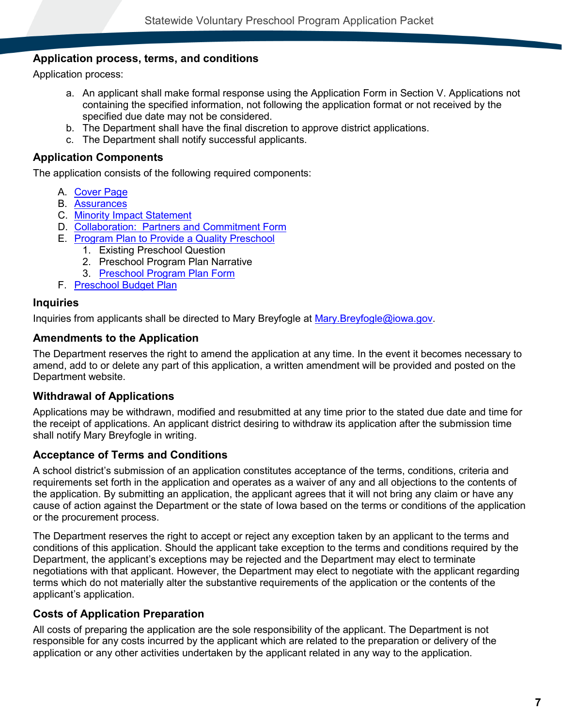### <span id="page-6-0"></span>**Application process, terms, and conditions**

Application process:

- a. An applicant shall make formal response using the Application Form in Section V. Applications not containing the specified information, not following the application format or not received by the specified due date may not be considered.
- b. The Department shall have the final discretion to approve district applications.
- c. The Department shall notify successful applicants.

### <span id="page-6-1"></span>**Application Components**

The application consists of the following required components:

- A. [Cover Page](#page-11-1)
- B. [Assurances](#page-11-4)
- C. [Minority Impact Statement](#page-13-1)
- D. [Collaboration: Partners and Commitment Form](#page-15-0)
- E. [Program Plan to Provide a Quality Preschool](#page-16-1)
	- 1. Existing Preschool Question
	- 2. Preschool Program Plan Narrative
	- 3. [Preschool Program Plan Form](#page-20-0)
- F. [Preschool Budget Plan](#page-21-0)

#### <span id="page-6-2"></span>**Inquiries**

Inquiries from applicants shall be directed to Mary Breyfogle at [Mary.Breyfogle@iowa.gov.](mailto:Jennifer.Adkins@iowa.gov)

### <span id="page-6-3"></span>**Amendments to the Application**

The Department reserves the right to amend the application at any time. In the event it becomes necessary to amend, add to or delete any part of this application, a written amendment will be provided and posted on the Department website.

### <span id="page-6-4"></span>**Withdrawal of Applications**

Applications may be withdrawn, modified and resubmitted at any time prior to the stated due date and time for the receipt of applications. An applicant district desiring to withdraw its application after the submission time shall notify Mary Breyfogle in writing.

### <span id="page-6-5"></span>**Acceptance of Terms and Conditions**

A school district's submission of an application constitutes acceptance of the terms, conditions, criteria and requirements set forth in the application and operates as a waiver of any and all objections to the contents of the application. By submitting an application, the applicant agrees that it will not bring any claim or have any cause of action against the Department or the state of Iowa based on the terms or conditions of the application or the procurement process.

The Department reserves the right to accept or reject any exception taken by an applicant to the terms and conditions of this application. Should the applicant take exception to the terms and conditions required by the Department, the applicant's exceptions may be rejected and the Department may elect to terminate negotiations with that applicant. However, the Department may elect to negotiate with the applicant regarding terms which do not materially alter the substantive requirements of the application or the contents of the applicant's application.

### <span id="page-6-6"></span>**Costs of Application Preparation**

All costs of preparing the application are the sole responsibility of the applicant. The Department is not responsible for any costs incurred by the applicant which are related to the preparation or delivery of the application or any other activities undertaken by the applicant related in any way to the application.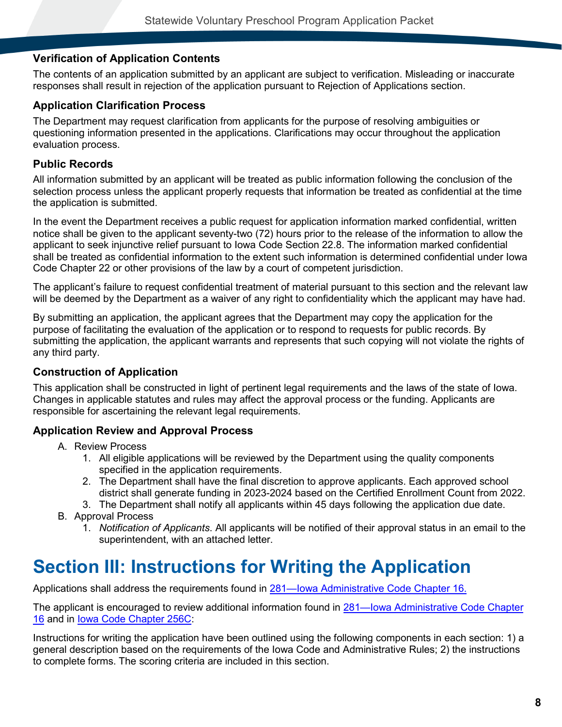### <span id="page-7-0"></span>**Verification of Application Contents**

The contents of an application submitted by an applicant are subject to verification. Misleading or inaccurate responses shall result in rejection of the application pursuant to Rejection of Applications section.

### <span id="page-7-1"></span>**Application Clarification Process**

The Department may request clarification from applicants for the purpose of resolving ambiguities or questioning information presented in the applications. Clarifications may occur throughout the application evaluation process.

### <span id="page-7-2"></span>**Public Records**

All information submitted by an applicant will be treated as public information following the conclusion of the selection process unless the applicant properly requests that information be treated as confidential at the time the application is submitted.

In the event the Department receives a public request for application information marked confidential, written notice shall be given to the applicant seventy-two (72) hours prior to the release of the information to allow the applicant to seek injunctive relief pursuant to Iowa Code Section 22.8. The information marked confidential shall be treated as confidential information to the extent such information is determined confidential under Iowa Code Chapter 22 or other provisions of the law by a court of competent jurisdiction.

The applicant's failure to request confidential treatment of material pursuant to this section and the relevant law will be deemed by the Department as a waiver of any right to confidentiality which the applicant may have had.

By submitting an application, the applicant agrees that the Department may copy the application for the purpose of facilitating the evaluation of the application or to respond to requests for public records. By submitting the application, the applicant warrants and represents that such copying will not violate the rights of any third party.

### <span id="page-7-3"></span>**Construction of Application**

This application shall be constructed in light of pertinent legal requirements and the laws of the state of Iowa. Changes in applicable statutes and rules may affect the approval process or the funding. Applicants are responsible for ascertaining the relevant legal requirements.

### <span id="page-7-4"></span>**Application Review and Approval Process**

- A. Review Process
	- 1. All eligible applications will be reviewed by the Department using the quality components specified in the application requirements.
	- 2. The Department shall have the final discretion to approve applicants. Each approved school district shall generate funding in 2023-2024 based on the Certified Enrollment Count from 2022.
	- 3. The Department shall notify all applicants within 45 days following the application due date.
- B. Approval Process
	- 1. *Notification of Applicants*. All applicants will be notified of their approval status in an email to the superintendent, with an attached letter.

## <span id="page-7-5"></span>**Section III: Instructions for Writing the Application**

Applications shall address the requirements found in [281—Iowa Administrative Code Chapter 16.](https://www.legis.iowa.gov/docs/ACO/chapter/281.16.pdf)

The applicant is encouraged to review additional information found in [281—Iowa Administrative Code Chapter](https://www.legis.iowa.gov/docs/ACO/chapter/281.16.pdf)  [16](https://www.legis.iowa.gov/docs/ACO/chapter/281.16.pdf) and in [Iowa Code Chapter 256C:](https://www.legis.iowa.gov/DOCS/ACO/IC/LINC/Chapter.256c.pdf)

Instructions for writing the application have been outlined using the following components in each section: 1) a general description based on the requirements of the Iowa Code and Administrative Rules; 2) the instructions to complete forms. The scoring criteria are included in this section.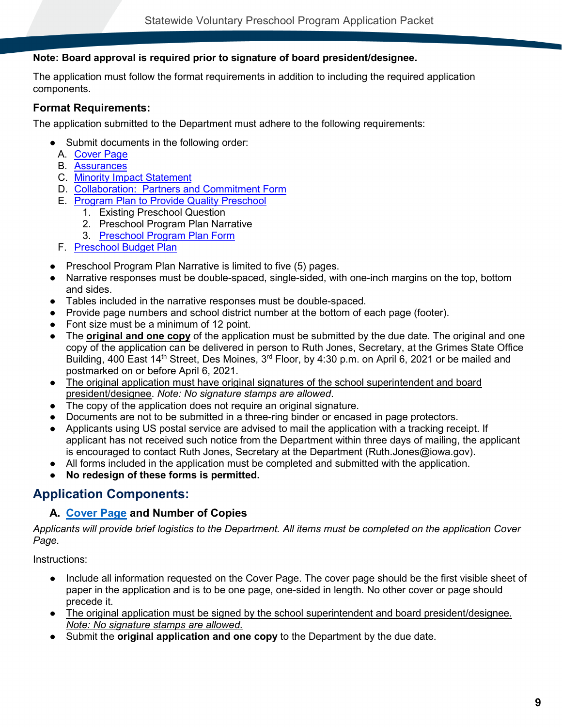### **Note: Board approval is required prior to signature of board president/designee.**

The application must follow the format requirements in addition to including the required application components.

### <span id="page-8-0"></span>**Format Requirements:**

The application submitted to the Department must adhere to the following requirements:

- Submit documents in the following order:
	- A. [Cover Page](#page-11-1)
	- B. [Assurances](#page-11-4)
	- C. [Minority Impact Statement](#page-13-1)
	- D. [Collaboration: Partners and Commitment Form](#page-15-0)
	- E. [Program Plan to Provide Quality Preschool](#page-16-1)
		- 1. Existing Preschool Question
		- 2. Preschool Program Plan Narrative
		- 3. [Preschool Program Plan Form](#page-20-0)
	- F. Preschool [Budget Plan](#page-21-0)
- **Preschool Program Plan Narrative is limited to five (5) pages.**
- Narrative responses must be double-spaced, single-sided, with one-inch margins on the top, bottom and sides.
- Tables included in the narrative responses must be double-spaced.
- Provide page numbers and school district number at the bottom of each page (footer).
- Font size must be a minimum of 12 point.
- The **original and one copy** of the application must be submitted by the due date. The original and one copy of the application can be delivered in person to Ruth Jones, Secretary, at the Grimes State Office Building, 400 East 14<sup>th</sup> Street, Des Moines, 3<sup>rd</sup> Floor, by 4:30 p.m. on April 6, 2021 or be mailed and postmarked on or before April 6, 2021.
- The original application must have original signatures of the school superintendent and board president/designee. *Note: No signature stamps are allowed*.
- The copy of the application does not require an original signature.
- Documents are not to be submitted in a three-ring binder or encased in page protectors.
- Applicants using US postal service are advised to mail the application with a tracking receipt. If applicant has not received such notice from the Department within three days of mailing, the applicant is encouraged to contact Ruth Jones, Secretary at the Department (Ruth.Jones@iowa.gov).
- All forms included in the application must be completed and submitted with the application.
- **No redesign of these forms is permitted.**

### <span id="page-8-1"></span>**Application Components:**

### <span id="page-8-2"></span>**A. [Cover Page](#page-11-1) and Number of Copies**

*Applicants will provide brief logistics to the Department. All items must be completed on the application Cover Page.*

Instructions:

- Include all information requested on the Cover Page. The cover page should be the first visible sheet of paper in the application and is to be one page, one-sided in length. No other cover or page should precede it.
- The original application must be signed by the school superintendent and board president/designee. *Note: No signature stamps are allowed.*
- Submit the **original application and one copy** to the Department by the due date.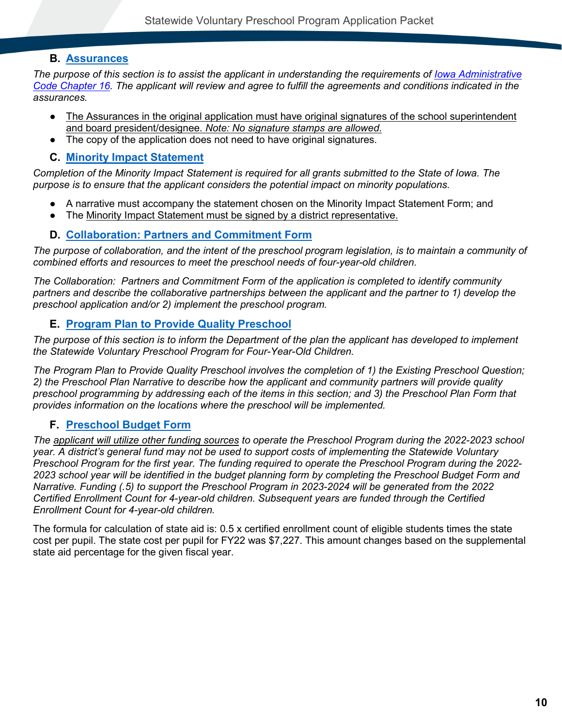### <span id="page-9-0"></span>**B. [Assurances](#page-11-4)**

*The purpose of this section is to assist the applicant in understanding the requirements of [Iowa Administrative](http://www.legis.iowa.gov/DOCS/ACO/IAC/LINC/Chapter.281.16.pdf)  [Code Chapter 16.](http://www.legis.iowa.gov/DOCS/ACO/IAC/LINC/Chapter.281.16.pdf) The applicant will review and agree to fulfill the agreements and conditions indicated in the assurances.*

- The Assurances in the original application must have original signatures of the school superintendent and board president/designee. *Note: No signature stamps are allowed.*
- The copy of the application does not need to have original signatures.

### <span id="page-9-1"></span>**C. [Minority Impact Statement](#page-13-1)**

*Completion of the Minority Impact Statement is required for all grants submitted to the State of Iowa. The purpose is to ensure that the applicant considers the potential impact on minority populations.*

- A narrative must accompany the statement chosen on the Minority Impact Statement Form; and
- The Minority Impact Statement must be signed by a district representative.

### <span id="page-9-2"></span>**D. [Collaboration: Partners and Commitment Form](#page-15-0)**

*The purpose of collaboration, and the intent of the preschool program legislation, is to maintain a community of combined efforts and resources to meet the preschool needs of four-year-old children.* 

*The Collaboration: Partners and Commitment Form of the application is completed to identify community partners and describe the collaborative partnerships between the applicant and the partner to 1) develop the preschool application and/or 2) implement the preschool program.*

### <span id="page-9-3"></span>**E. [Program Plan to Provide Quality Preschool](#page-16-1)**

*The purpose of this section is to inform the Department of the plan the applicant has developed to implement the Statewide Voluntary Preschool Program for Four-Year-Old Children.*

*The Program Plan to Provide Quality Preschool involves the completion of 1) the Existing Preschool Question; 2) the Preschool Plan Narrative to describe how the applicant and community partners will provide quality preschool programming by addressing each of the items in this section; and 3) the Preschool Plan Form that provides information on the locations where the preschool will be implemented.*

### <span id="page-9-4"></span>**F. [Preschool Budget Form](#page-21-0)**

*The applicant will utilize other funding sources to operate the Preschool Program during the 2022-2023 school year. A district's general fund may not be used to support costs of implementing the Statewide Voluntary Preschool Program for the first year. The funding required to operate the Preschool Program during the 2022- 2023 school year will be identified in the budget planning form by completing the Preschool Budget Form and Narrative. Funding (.5) to support the Preschool Program in 2023-2024 will be generated from the 2022 Certified Enrollment Count for 4-year-old children. Subsequent years are funded through the Certified Enrollment Count for 4-year-old children.* 

The formula for calculation of state aid is: 0.5 x certified enrollment count of eligible students times the state cost per pupil. The state cost per pupil for FY22 was \$7,227. This amount changes based on the supplemental state aid percentage for the given fiscal year.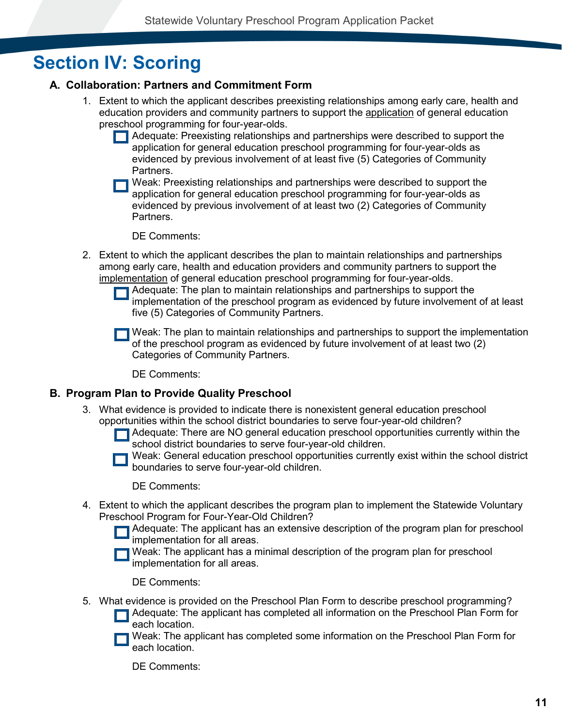## <span id="page-10-0"></span>**Section IV: Scoring**

### <span id="page-10-1"></span>**A. Collaboration: Partners and Commitment Form**

- 1. Extent to which the applicant describes preexisting relationships among early care, health and education providers and community partners to support the application of general education preschool programming for four-year-olds.
	- Adequate: Preexisting relationships and partnerships were described to support the application for general education preschool programming for four-year-olds as evidenced by previous involvement of at least five (5) Categories of Community Partners.

Weak: Preexisting relationships and partnerships were described to support the application for general education preschool programming for four-year-olds as evidenced by previous involvement of at least two (2) Categories of Community Partners.

DE Comments:

- 2. Extent to which the applicant describes the plan to maintain relationships and partnerships among early care, health and education providers and community partners to support the implementation of general education preschool programming for four-year-olds.
	- Adequate: The plan to maintain relationships and partnerships to support the implementation of the preschool program as evidenced by future involvement of at least five (5) Categories of Community Partners.
	- Weak: The plan to maintain relationships and partnerships to support the implementation of the preschool program as evidenced by future involvement of at least two (2) Categories of Community Partners.

DE Comments:

### <span id="page-10-2"></span>**B. Program Plan to Provide Quality Preschool**

- 3. What evidence is provided to indicate there is nonexistent general education preschool opportunities within the school district boundaries to serve four-year-old children?
	- Adequate: There are NO general education preschool opportunities currently within the  $\Box$ school district boundaries to serve four-year-old children.
	- Weak: General education preschool opportunities currently exist within the school district boundaries to serve four-year-old children.

DE Comments:

- 4. Extent to which the applicant describes the program plan to implement the Statewide Voluntary Preschool Program for Four-Year-Old Children?
	- Adequate: The applicant has an extensive description of the program plan for preschool implementation for all areas.
	- Weak: The applicant has a minimal description of the program plan for preschool implementation for all areas.

DE Comments:

- 5. What evidence is provided on the Preschool Plan Form to describe preschool programming?
	- Adequate: The applicant has completed all information on the Preschool Plan Form for each location.
	- Weak: The applicant has completed some information on the Preschool Plan Form for each location.

DE Comments: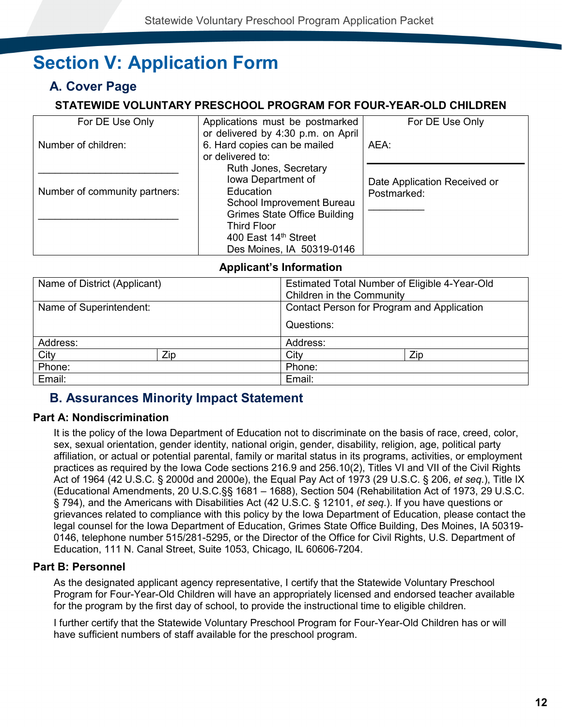## <span id="page-11-0"></span>**Section V: Application Form**

## <span id="page-11-1"></span>**A. Cover Page**

### **STATEWIDE VOLUNTARY PRESCHOOL PROGRAM FOR FOUR-YEAR-OLD CHILDREN**

<span id="page-11-2"></span>

| For DE Use Only               | Applications must be postmarked<br>or delivered by 4:30 p.m. on April                                                        | For DE Use Only                             |
|-------------------------------|------------------------------------------------------------------------------------------------------------------------------|---------------------------------------------|
| Number of children:           | 6. Hard copies can be mailed<br>or delivered to:                                                                             | AEA:                                        |
| Number of community partners: | Ruth Jones, Secretary<br>Iowa Department of<br>Education<br>School Improvement Bureau<br><b>Grimes State Office Building</b> | Date Application Received or<br>Postmarked: |
|                               | <b>Third Floor</b><br>400 East 14th Street<br>Des Moines, IA 50319-0146                                                      |                                             |

### **Applicant's Information**

<span id="page-11-3"></span>

| Name of District (Applicant) |     | Estimated Total Number of Eligible 4-Year-Old<br>Children in the Community |     |  |  |  |
|------------------------------|-----|----------------------------------------------------------------------------|-----|--|--|--|
| Name of Superintendent:      |     | Contact Person for Program and Application                                 |     |  |  |  |
|                              |     | Questions:                                                                 |     |  |  |  |
| Address:                     |     | Address:                                                                   |     |  |  |  |
| City                         | Zip | City                                                                       | Zip |  |  |  |
| Phone:                       |     | Phone:                                                                     |     |  |  |  |
| Email:                       |     | Email:                                                                     |     |  |  |  |

## <span id="page-11-4"></span>**B. Assurances Minority Impact Statement**

### <span id="page-11-5"></span>**Part A: Nondiscrimination**

It is the policy of the Iowa Department of Education not to discriminate on the basis of race, creed, color, sex, sexual orientation, gender identity, national origin, gender, disability, religion, age, political party affiliation, or actual or potential parental, family or marital status in its programs, activities, or employment practices as required by the Iowa Code sections 216.9 and 256.10(2), Titles VI and VII of the Civil Rights Act of 1964 (42 U.S.C. § 2000d and 2000e), the Equal Pay Act of 1973 (29 U.S.C. § 206, *et seq*.), Title IX (Educational Amendments, 20 U.S.C.§§ 1681 – 1688), Section 504 (Rehabilitation Act of 1973, 29 U.S.C. § 794), and the Americans with Disabilities Act (42 U.S.C. § 12101, *et seq*.). If you have questions or grievances related to compliance with this policy by the Iowa Department of Education, please contact the legal counsel for the Iowa Department of Education, Grimes State Office Building, Des Moines, IA 50319- 0146, telephone number 515/281-5295, or the Director of the Office for Civil Rights, U.S. Department of Education, 111 N. Canal Street, Suite 1053, Chicago, IL 60606-7204.

### <span id="page-11-6"></span>**Part B: Personnel**

As the designated applicant agency representative, I certify that the Statewide Voluntary Preschool Program for Four-Year-Old Children will have an appropriately licensed and endorsed teacher available for the program by the first day of school, to provide the instructional time to eligible children.

I further certify that the Statewide Voluntary Preschool Program for Four-Year-Old Children has or will have sufficient numbers of staff available for the preschool program.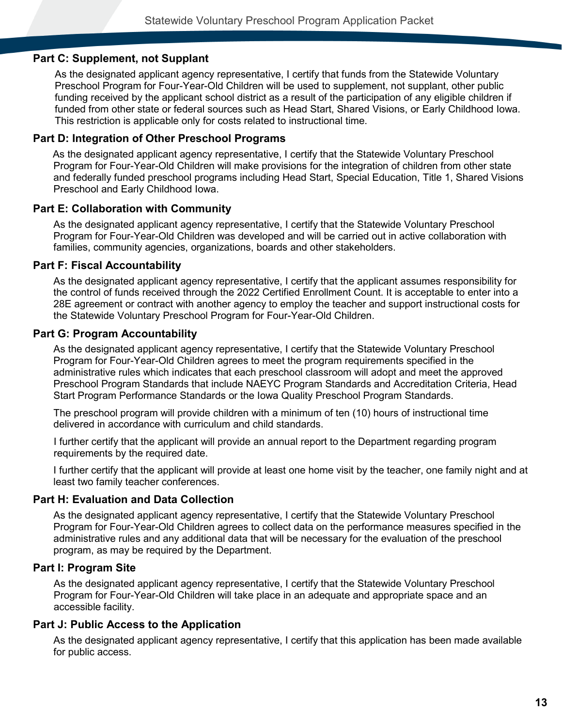### <span id="page-12-0"></span>**Part C: Supplement, not Supplant**

As the designated applicant agency representative, I certify that funds from the Statewide Voluntary Preschool Program for Four-Year-Old Children will be used to supplement, not supplant, other public funding received by the applicant school district as a result of the participation of any eligible children if funded from other state or federal sources such as Head Start, Shared Visions, or Early Childhood Iowa. This restriction is applicable only for costs related to instructional time.

### <span id="page-12-1"></span>**Part D: Integration of Other Preschool Programs**

As the designated applicant agency representative, I certify that the Statewide Voluntary Preschool Program for Four-Year-Old Children will make provisions for the integration of children from other state and federally funded preschool programs including Head Start, Special Education, Title 1, Shared Visions Preschool and Early Childhood Iowa.

### <span id="page-12-2"></span>**Part E: Collaboration with Community**

As the designated applicant agency representative, I certify that the Statewide Voluntary Preschool Program for Four-Year-Old Children was developed and will be carried out in active collaboration with families, community agencies, organizations, boards and other stakeholders.

### <span id="page-12-3"></span>**Part F: Fiscal Accountability**

As the designated applicant agency representative, I certify that the applicant assumes responsibility for the control of funds received through the 2022 Certified Enrollment Count. It is acceptable to enter into a 28E agreement or contract with another agency to employ the teacher and support instructional costs for the Statewide Voluntary Preschool Program for Four-Year-Old Children.

### <span id="page-12-4"></span>**Part G: Program Accountability**

As the designated applicant agency representative, I certify that the Statewide Voluntary Preschool Program for Four-Year-Old Children agrees to meet the program requirements specified in the administrative rules which indicates that each preschool classroom will adopt and meet the approved Preschool Program Standards that include NAEYC Program Standards and Accreditation Criteria, Head Start Program Performance Standards or the Iowa Quality Preschool Program Standards.

The preschool program will provide children with a minimum of ten (10) hours of instructional time delivered in accordance with curriculum and child standards.

I further certify that the applicant will provide an annual report to the Department regarding program requirements by the required date.

I further certify that the applicant will provide at least one home visit by the teacher, one family night and at least two family teacher conferences.

#### <span id="page-12-5"></span>**Part H: Evaluation and Data Collection**

As the designated applicant agency representative, I certify that the Statewide Voluntary Preschool Program for Four-Year-Old Children agrees to collect data on the performance measures specified in the administrative rules and any additional data that will be necessary for the evaluation of the preschool program, as may be required by the Department.

### <span id="page-12-6"></span>**Part I: Program Site**

As the designated applicant agency representative, I certify that the Statewide Voluntary Preschool Program for Four-Year-Old Children will take place in an adequate and appropriate space and an accessible facility.

### <span id="page-12-7"></span>**Part J: Public Access to the Application**

As the designated applicant agency representative, I certify that this application has been made available for public access.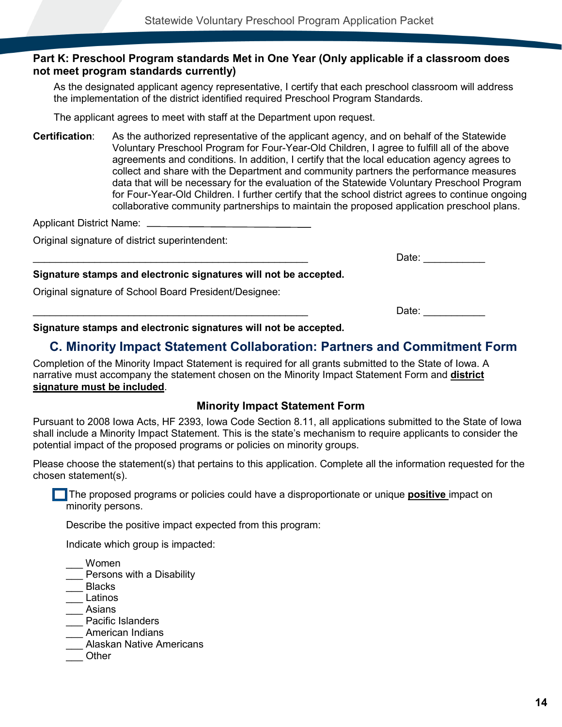### <span id="page-13-0"></span>**Part K: Preschool Program standards Met in One Year (Only applicable if a classroom does not meet program standards currently)**

As the designated applicant agency representative, I certify that each preschool classroom will address the implementation of the district identified required Preschool Program Standards.

The applicant agrees to meet with staff at the Department upon request.

**Certification**: As the authorized representative of the applicant agency, and on behalf of the Statewide Voluntary Preschool Program for Four-Year-Old Children, I agree to fulfill all of the above agreements and conditions. In addition, I certify that the local education agency agrees to collect and share with the Department and community partners the performance measures data that will be necessary for the evaluation of the Statewide Voluntary Preschool Program for Four-Year-Old Children. I further certify that the school district agrees to continue ongoing collaborative community partnerships to maintain the proposed application preschool plans.

Applicant District Name:

Original signature of district superintendent:

Date:

#### **Signature stamps and electronic signatures will not be accepted.**

Original signature of School Board President/Designee:

 $\Box$ ate:  $\Box$ 

<span id="page-13-1"></span>**Signature stamps and electronic signatures will not be accepted.**

### **C. Minority Impact Statement Collaboration: Partners and Commitment Form**

Completion of the Minority Impact Statement is required for all grants submitted to the State of Iowa. A narrative must accompany the statement chosen on the Minority Impact Statement Form and **district signature must be included**.

### **Minority Impact Statement Form**

<span id="page-13-2"></span>Pursuant to 2008 Iowa Acts, HF 2393, Iowa Code Section 8.11, all applications submitted to the State of Iowa shall include a Minority Impact Statement. This is the state's mechanism to require applicants to consider the potential impact of the proposed programs or policies on minority groups.

Please choose the statement(s) that pertains to this application. Complete all the information requested for the chosen statement(s).

**The proposed programs or policies could have a disproportionate or unique <b>positive** impact on minority persons.

Describe the positive impact expected from this program:

Indicate which group is impacted:

\_\_\_ Women

Persons with a Disability

- \_\_\_ Blacks
- \_\_\_ Latinos
- \_\_\_ Asians
- Pacific Islanders
- \_\_\_ American Indians
- \_\_\_ Alaskan Native Americans
- \_\_\_ Other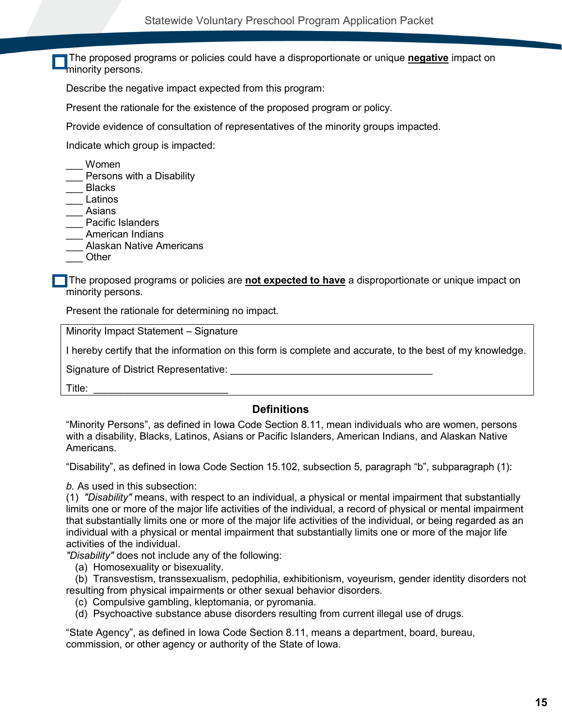The proposed programs or policies could have a disproportionate or unique **negative** impact on minority persons.

Describe the negative impact expected from this program:

Present the rationale for the existence of the proposed program or policy.

Provide evidence of consultation of representatives of the minority groups impacted.

Indicate which group is impacted:

- \_\_\_ Women
- Persons with a Disability
- \_\_\_ Blacks
- \_\_\_ Latinos
- \_\_\_ Asians
- Pacific Islanders
- \_\_\_ American Indians
- \_\_\_ Alaskan Native Americans
- \_\_\_ Other

The proposed programs or policies are **not expected to have** a disproportionate or unique impact on minority persons.

Present the rationale for determining no impact.

Minority Impact Statement – Signature

I hereby certify that the information on this form is complete and accurate, to the best of my knowledge.

Signature of District Representative:

 $\mathsf{Title:}$ 

#### **Definitions**

<span id="page-14-0"></span>"Minority Persons", as defined in Iowa Code Section 8.11, mean individuals who are women, persons with a disability, Blacks, Latinos, Asians or Pacific Islanders, American Indians, and Alaskan Native Americans.

"Disability", as defined in Iowa Code Section 15.102, subsection 5, paragraph "b", subparagraph (1):

*b.* As used in this subsection:

(1) *"Disability"* means, with respect to an individual, a physical or mental impairment that substantially limits one or more of the major life activities of the individual, a record of physical or mental impairment that substantially limits one or more of the major life activities of the individual, or being regarded as an individual with a physical or mental impairment that substantially limits one or more of the major life activities of the individual.

*"Disability"* does not include any of the following:

(a) Homosexuality or bisexuality.

(b) Transvestism, transsexualism, pedophilia, exhibitionism, voyeurism, gender identity disorders not resulting from physical impairments or other sexual behavior disorders.

(c) Compulsive gambling, kleptomania, or pyromania.

(d) Psychoactive substance abuse disorders resulting from current illegal use of drugs.

"State Agency", as defined in Iowa Code Section 8.11, means a department, board, bureau, commission, or other agency or authority of the State of Iowa.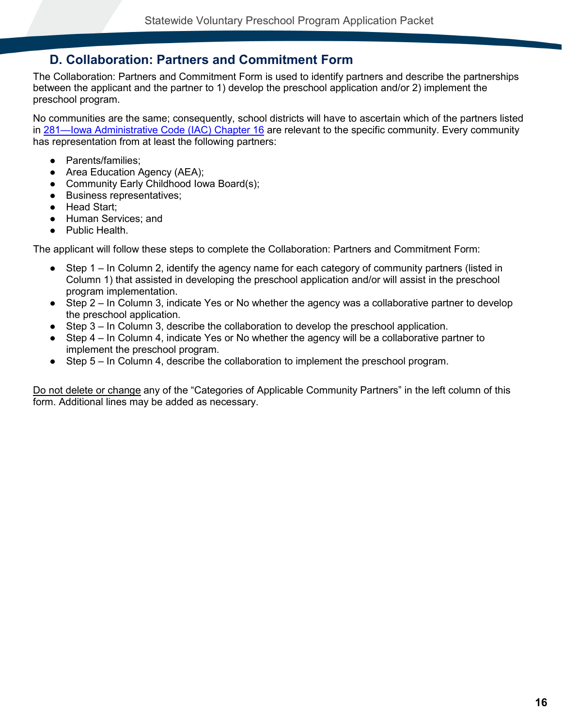### <span id="page-15-0"></span>**D. Collaboration: Partners and Commitment Form**

The Collaboration: Partners and Commitment Form is used to identify partners and describe the partnerships between the applicant and the partner to 1) develop the preschool application and/or 2) implement the preschool program.

No communities are the same; consequently, school districts will have to ascertain which of the partners listed in [281—Iowa Administrative Code \(IAC\) Chapter 16](http://www.legis.iowa.gov/DOCS/ACO/IAC/LINC/Chapter.281.16.pdf) are relevant to the specific community. Every community has representation from at least the following partners:

- Parents/families;
- Area Education Agency (AEA);
- Community Early Childhood Iowa Board(s);
- Business representatives;
- Head Start;
- Human Services; and
- Public Health.

The applicant will follow these steps to complete the Collaboration: Partners and Commitment Form:

- Step 1 In Column 2, identify the agency name for each category of community partners (listed in Column 1) that assisted in developing the preschool application and/or will assist in the preschool program implementation.
- Step 2 In Column 3, indicate Yes or No whether the agency was a collaborative partner to develop the preschool application.
- Step 3 In Column 3, describe the collaboration to develop the preschool application.
- Step 4 In Column 4, indicate Yes or No whether the agency will be a collaborative partner to implement the preschool program.
- Step 5 In Column 4, describe the collaboration to implement the preschool program.

Do not delete or change any of the "Categories of Applicable Community Partners" in the left column of this form. Additional lines may be added as necessary.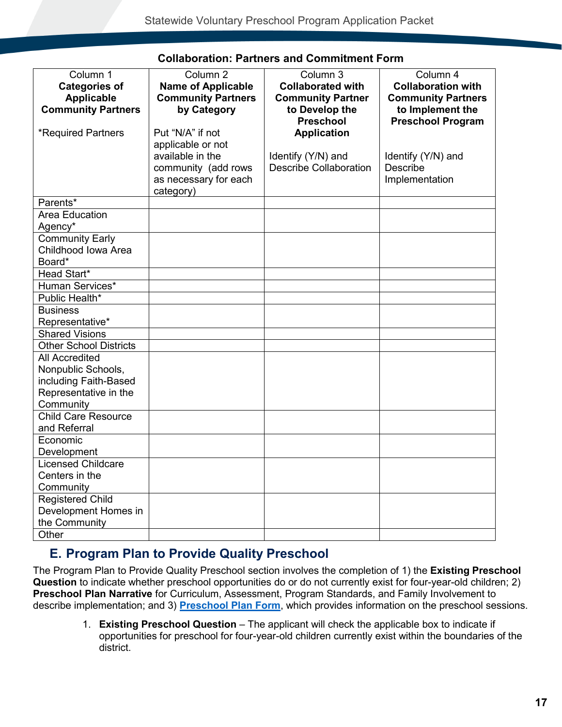<span id="page-16-0"></span>

| Column 1<br><b>Categories of</b><br><b>Applicable</b> | Column <sub>2</sub><br><b>Name of Applicable</b><br><b>Community Partners</b> | Column 3<br><b>Collaborated with</b><br><b>Community Partner</b> | Column 4<br><b>Collaboration with</b><br><b>Community Partners</b> |
|-------------------------------------------------------|-------------------------------------------------------------------------------|------------------------------------------------------------------|--------------------------------------------------------------------|
| <b>Community Partners</b>                             | by Category                                                                   | to Develop the<br>Preschool                                      | to Implement the<br><b>Preschool Program</b>                       |
| <b>*Required Partners</b>                             | Put "N/A" if not                                                              | <b>Application</b>                                               |                                                                    |
|                                                       | applicable or not<br>available in the                                         | Identify (Y/N) and                                               | Identify (Y/N) and                                                 |
|                                                       | community (add rows                                                           | <b>Describe Collaboration</b>                                    | Describe                                                           |
|                                                       | as necessary for each                                                         |                                                                  | Implementation                                                     |
|                                                       | category)                                                                     |                                                                  |                                                                    |
| Parents*                                              |                                                                               |                                                                  |                                                                    |
| Area Education<br>Agency*                             |                                                                               |                                                                  |                                                                    |
| <b>Community Early</b>                                |                                                                               |                                                                  |                                                                    |
| Childhood Iowa Area                                   |                                                                               |                                                                  |                                                                    |
| Board*<br>Head Start*                                 |                                                                               |                                                                  |                                                                    |
| Human Services*                                       |                                                                               |                                                                  |                                                                    |
| Public Health*                                        |                                                                               |                                                                  |                                                                    |
| <b>Business</b>                                       |                                                                               |                                                                  |                                                                    |
| Representative*                                       |                                                                               |                                                                  |                                                                    |
| <b>Shared Visions</b>                                 |                                                                               |                                                                  |                                                                    |
| <b>Other School Districts</b>                         |                                                                               |                                                                  |                                                                    |
| <b>All Accredited</b>                                 |                                                                               |                                                                  |                                                                    |
| Nonpublic Schools,                                    |                                                                               |                                                                  |                                                                    |
| including Faith-Based                                 |                                                                               |                                                                  |                                                                    |
| Representative in the                                 |                                                                               |                                                                  |                                                                    |
| Community                                             |                                                                               |                                                                  |                                                                    |
| <b>Child Care Resource</b>                            |                                                                               |                                                                  |                                                                    |
| and Referral                                          |                                                                               |                                                                  |                                                                    |
| Economic                                              |                                                                               |                                                                  |                                                                    |
| Development                                           |                                                                               |                                                                  |                                                                    |
| Licensed Childcare                                    |                                                                               |                                                                  |                                                                    |
| Centers in the<br>Community                           |                                                                               |                                                                  |                                                                    |
| <b>Registered Child</b>                               |                                                                               |                                                                  |                                                                    |
| Development Homes in                                  |                                                                               |                                                                  |                                                                    |
| the Community                                         |                                                                               |                                                                  |                                                                    |
| Other                                                 |                                                                               |                                                                  |                                                                    |
|                                                       |                                                                               |                                                                  |                                                                    |

### **Collaboration: Partners and Commitment Form**

### <span id="page-16-1"></span>**E. Program Plan to Provide Quality Preschool**

The Program Plan to Provide Quality Preschool section involves the completion of 1) the **Existing Preschool Question** to indicate whether preschool opportunities do or do not currently exist for four-year-old children; 2) **Preschool Plan Narrative** for Curriculum, Assessment, Program Standards, and Family Involvement to describe implementation; and 3) **[Preschool Plan Form](#page-20-0)**, which provides information on the preschool sessions.

> 1. **Existing Preschool Question** – The applicant will check the applicable box to indicate if opportunities for preschool for four-year-old children currently exist within the boundaries of the district.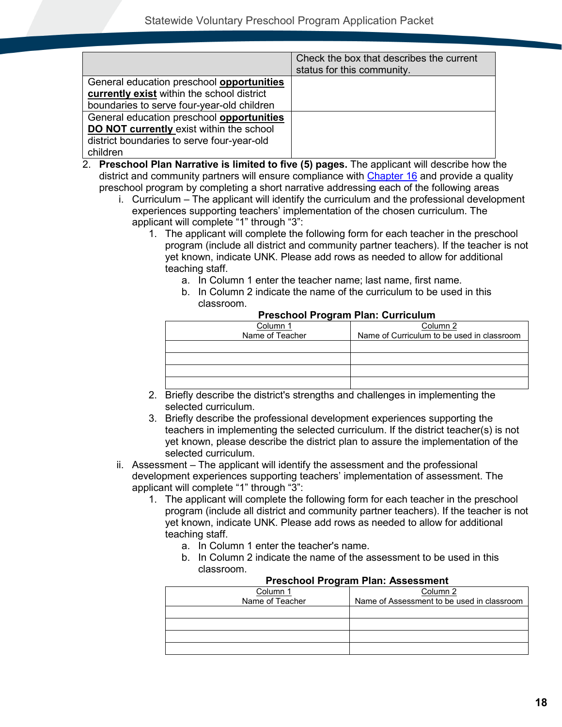|                                                  | Check the box that describes the current<br>status for this community. |
|--------------------------------------------------|------------------------------------------------------------------------|
| General education preschool <b>opportunities</b> |                                                                        |
| currently exist within the school district       |                                                                        |
| boundaries to serve four-year-old children       |                                                                        |
| General education preschool opportunities        |                                                                        |
| DO NOT currently exist within the school         |                                                                        |
| district boundaries to serve four-year-old       |                                                                        |
| children                                         |                                                                        |

- 2. **Preschool Plan Narrative is limited to five (5) pages.** The applicant will describe how the district and community partners will ensure compliance with [Chapter 16](http://www.legis.iowa.gov/DOCS/ACO/IAC/LINC/Chapter.281.16.pdf) and provide a quality preschool program by completing a short narrative addressing each of the following areas
	- i. Curriculum The applicant will identify the curriculum and the professional development experiences supporting teachers' implementation of the chosen curriculum. The applicant will complete "1" through "3":
		- 1. The applicant will complete the following form for each teacher in the preschool program (include all district and community partner teachers). If the teacher is not yet known, indicate UNK. Please add rows as needed to allow for additional teaching staff.
			- a. In Column 1 enter the teacher name; last name, first name.
			- b. In Column 2 indicate the name of the curriculum to be used in this classroom.

| 1100011001110910111110111 0011100101111 |                                            |  |  |  |  |  |  |  |
|-----------------------------------------|--------------------------------------------|--|--|--|--|--|--|--|
| Column 1                                | Column 2                                   |  |  |  |  |  |  |  |
| Name of Teacher                         | Name of Curriculum to be used in classroom |  |  |  |  |  |  |  |
|                                         |                                            |  |  |  |  |  |  |  |
|                                         |                                            |  |  |  |  |  |  |  |
|                                         |                                            |  |  |  |  |  |  |  |
|                                         |                                            |  |  |  |  |  |  |  |

#### **Preschool Program Plan: Curriculum**

- 2. Briefly describe the district's strengths and challenges in implementing the selected curriculum.
- 3. Briefly describe the professional development experiences supporting the teachers in implementing the selected curriculum. If the district teacher(s) is not yet known, please describe the district plan to assure the implementation of the selected curriculum.
- ii. Assessment The applicant will identify the assessment and the professional development experiences supporting teachers' implementation of assessment. The applicant will complete "1" through "3":
	- 1. The applicant will complete the following form for each teacher in the preschool program (include all district and community partner teachers). If the teacher is not yet known, indicate UNK. Please add rows as needed to allow for additional teaching staff.
		- a. In Column 1 enter the teacher's name.
		- b. In Column 2 indicate the name of the assessment to be used in this classroom.

| <u>FIGSCHOOLFTOGIAHIFIAH. ASSGSSHIGHT</u> |                                            |  |  |  |  |  |  |  |
|-------------------------------------------|--------------------------------------------|--|--|--|--|--|--|--|
| Column 1                                  | Column 2                                   |  |  |  |  |  |  |  |
| Name of Teacher                           | Name of Assessment to be used in classroom |  |  |  |  |  |  |  |
|                                           |                                            |  |  |  |  |  |  |  |
|                                           |                                            |  |  |  |  |  |  |  |
|                                           |                                            |  |  |  |  |  |  |  |
|                                           |                                            |  |  |  |  |  |  |  |

### **Preschool Program Plan: Assessment**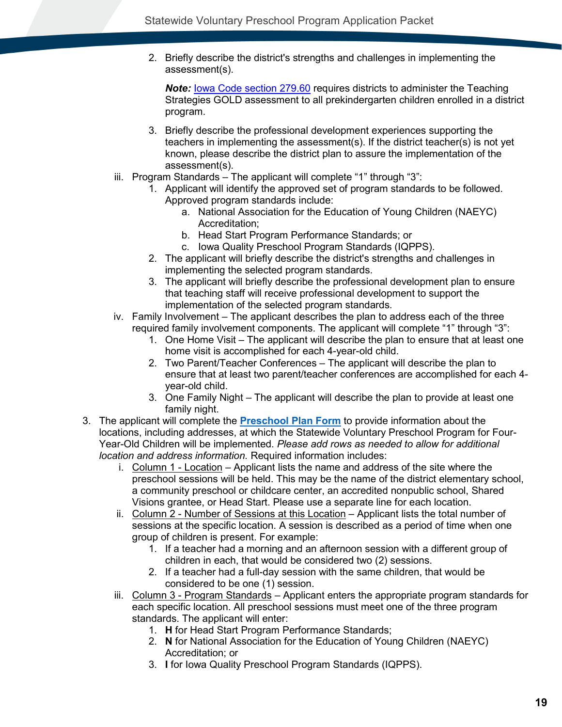2. Briefly describe the district's strengths and challenges in implementing the assessment(s).

*Note:* [Iowa Code section 279.60](http://www.legis.iowa.gov/DOCS/ACO/IC/LINC/Section.279.60.pdf) requires districts to administer the Teaching Strategies GOLD assessment to all prekindergarten children enrolled in a district program.

- 3. Briefly describe the professional development experiences supporting the teachers in implementing the assessment(s). If the district teacher(s) is not yet known, please describe the district plan to assure the implementation of the assessment(s).
- iii. Program Standards The applicant will complete "1" through "3":
	- 1. Applicant will identify the approved set of program standards to be followed. Approved program standards include:
		- a. National Association for the Education of Young Children (NAEYC) Accreditation;
		- b. Head Start Program Performance Standards; or
		- c. Iowa Quality Preschool Program Standards (IQPPS).
	- 2. The applicant will briefly describe the district's strengths and challenges in implementing the selected program standards.
	- 3. The applicant will briefly describe the professional development plan to ensure that teaching staff will receive professional development to support the implementation of the selected program standards.
- iv. Family Involvement The applicant describes the plan to address each of the three required family involvement components. The applicant will complete "1" through "3":
	- 1. One Home Visit The applicant will describe the plan to ensure that at least one home visit is accomplished for each 4-year-old child.
	- 2. Two Parent/Teacher Conferences The applicant will describe the plan to ensure that at least two parent/teacher conferences are accomplished for each 4 year-old child.
	- 3. One Family Night The applicant will describe the plan to provide at least one family night.
- 3. The applicant will complete the **[Preschool Plan Form](#page-20-0)** to provide information about the locations, including addresses, at which the Statewide Voluntary Preschool Program for Four-Year-Old Children will be implemented. *Please add rows as needed to allow for additional location and address information.* Required information includes:
	- i. Column 1 Location Applicant lists the name and address of the site where the preschool sessions will be held. This may be the name of the district elementary school, a community preschool or childcare center, an accredited nonpublic school, Shared Visions grantee, or Head Start. Please use a separate line for each location.
	- ii. Column 2 Number of Sessions at this Location Applicant lists the total number of sessions at the specific location. A session is described as a period of time when one group of children is present. For example:
		- 1. If a teacher had a morning and an afternoon session with a different group of children in each, that would be considered two (2) sessions.
		- 2. If a teacher had a full-day session with the same children, that would be considered to be one (1) session.
	- iii. Column 3 Program Standards Applicant enters the appropriate program standards for each specific location. All preschool sessions must meet one of the three program standards. The applicant will enter:
		- 1. **H** for Head Start Program Performance Standards;
		- 2. **N** for National Association for the Education of Young Children (NAEYC) Accreditation; or
		- 3. **I** for Iowa Quality Preschool Program Standards (IQPPS).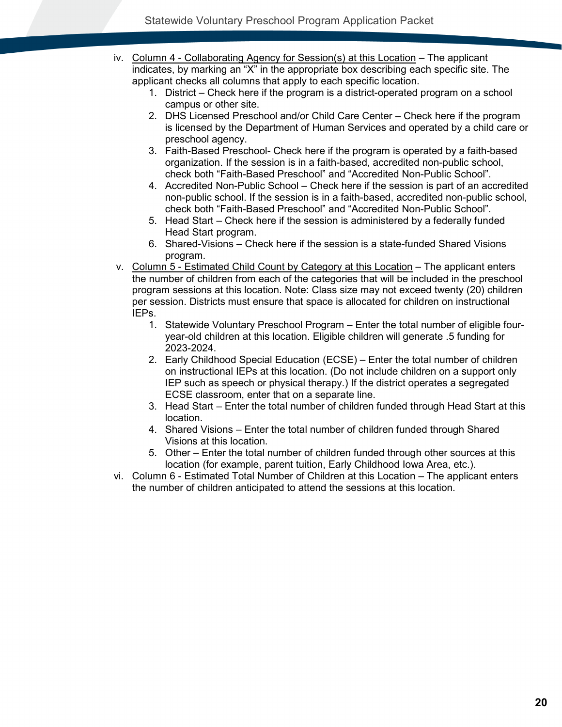- iv. Column 4 Collaborating Agency for Session(s) at this Location The applicant indicates, by marking an "X" in the appropriate box describing each specific site. The applicant checks all columns that apply to each specific location.
	- 1. District Check here if the program is a district-operated program on a school campus or other site.
	- 2. DHS Licensed Preschool and/or Child Care Center Check here if the program is licensed by the Department of Human Services and operated by a child care or preschool agency.
	- 3. Faith-Based Preschool- Check here if the program is operated by a faith-based organization. If the session is in a faith-based, accredited non-public school, check both "Faith-Based Preschool" and "Accredited Non-Public School".
	- 4. Accredited Non-Public School Check here if the session is part of an accredited non-public school. If the session is in a faith-based, accredited non-public school, check both "Faith-Based Preschool" and "Accredited Non-Public School".
	- 5. Head Start Check here if the session is administered by a federally funded Head Start program.
	- 6. Shared-Visions Check here if the session is a state-funded Shared Visions program.
- v. Column 5 Estimated Child Count by Category at this Location The applicant enters the number of children from each of the categories that will be included in the preschool program sessions at this location. Note: Class size may not exceed twenty (20) children per session. Districts must ensure that space is allocated for children on instructional IEPs.
	- 1. Statewide Voluntary Preschool Program Enter the total number of eligible fouryear-old children at this location. Eligible children will generate .5 funding for 2023-2024.
	- 2. Early Childhood Special Education (ECSE) Enter the total number of children on instructional IEPs at this location. (Do not include children on a support only IEP such as speech or physical therapy.) If the district operates a segregated ECSE classroom, enter that on a separate line.
	- 3. Head Start Enter the total number of children funded through Head Start at this location.
	- 4. Shared Visions Enter the total number of children funded through Shared Visions at this location.
	- 5. Other Enter the total number of children funded through other sources at this location (for example, parent tuition, Early Childhood Iowa Area, etc.).
- vi. Column 6 Estimated Total Number of Children at this Location The applicant enters the number of children anticipated to attend the sessions at this location.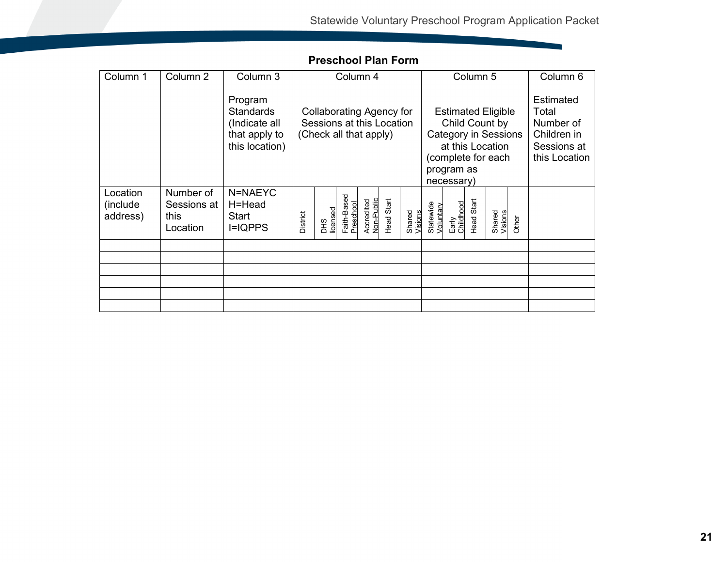and the company of the company

<span id="page-20-0"></span>

| Column 1                          | Column <sub>2</sub>                          | Column 3                                                                        | Column 4                                                                               |                        |                          | Column 5                 |                                                                                                                                                  |                   |                        |                    |            | Column <sub>6</sub>                                                                   |       |  |
|-----------------------------------|----------------------------------------------|---------------------------------------------------------------------------------|----------------------------------------------------------------------------------------|------------------------|--------------------------|--------------------------|--------------------------------------------------------------------------------------------------------------------------------------------------|-------------------|------------------------|--------------------|------------|---------------------------------------------------------------------------------------|-------|--|
|                                   |                                              | Program<br><b>Standards</b><br>(Indicate all<br>that apply to<br>this location) | <b>Collaborating Agency for</b><br>Sessions at this Location<br>(Check all that apply) |                        |                          |                          | <b>Estimated Eligible</b><br>Child Count by<br><b>Category in Sessions</b><br>at this Location<br>(complete for each<br>program as<br>necessary) |                   |                        |                    |            | <b>Estimated</b><br>Total<br>Number of<br>Children in<br>Sessions at<br>this Location |       |  |
| Location<br>(include)<br>address) | Number of<br>Sessions at<br>this<br>Location | N=NAEYC<br>H=Head<br>Start<br>$I=IQPPS$                                         | District                                                                               | licensed<br><b>DHS</b> | Faith-Based<br>Preschool | Accredited<br>Non-Public | <b>Head Start</b>                                                                                                                                | Shared<br>Visions | Statewide<br>Voluntary | Early<br>Childhood | Head Start | Shared<br>Visions                                                                     | Other |  |
|                                   |                                              |                                                                                 |                                                                                        |                        |                          |                          |                                                                                                                                                  |                   |                        |                    |            |                                                                                       |       |  |
|                                   |                                              |                                                                                 |                                                                                        |                        |                          |                          |                                                                                                                                                  |                   |                        |                    |            |                                                                                       |       |  |
|                                   |                                              |                                                                                 |                                                                                        |                        |                          |                          |                                                                                                                                                  |                   |                        |                    |            |                                                                                       |       |  |
|                                   |                                              |                                                                                 |                                                                                        |                        |                          |                          |                                                                                                                                                  |                   |                        |                    |            |                                                                                       |       |  |
|                                   |                                              |                                                                                 |                                                                                        |                        |                          |                          |                                                                                                                                                  |                   |                        |                    |            |                                                                                       |       |  |
|                                   |                                              |                                                                                 |                                                                                        |                        |                          |                          |                                                                                                                                                  |                   |                        |                    |            |                                                                                       |       |  |

## **Preschool Plan Form**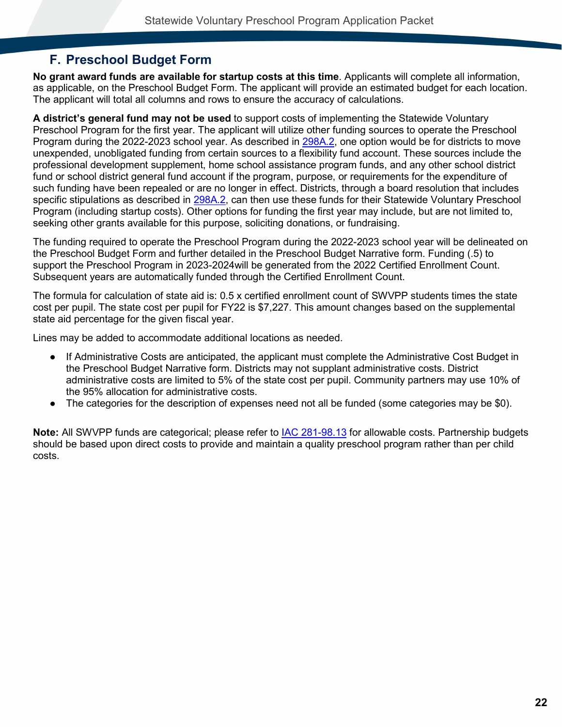## <span id="page-21-0"></span>**F. Preschool Budget Form**

**No grant award funds are available for startup costs at this time**. Applicants will complete all information, as applicable, on the Preschool Budget Form. The applicant will provide an estimated budget for each location. The applicant will total all columns and rows to ensure the accuracy of calculations.

**A district's general fund may not be used** to support costs of implementing the Statewide Voluntary Preschool Program for the first year. The applicant will utilize other funding sources to operate the Preschool Program during the 2022-2023 school year. As described in [298A.2,](https://www.legis.iowa.gov/law/iowaCode/sections?codeChapter=298A&year=2018) one option would be for districts to move unexpended, unobligated funding from certain sources to a flexibility fund account. These sources include the professional development supplement, home school assistance program funds, and any other school district fund or school district general fund account if the program, purpose, or requirements for the expenditure of such funding have been repealed or are no longer in effect. Districts, through a board resolution that includes specific stipulations as described in [298A.2,](https://www.legis.iowa.gov/law/iowaCode/sections?codeChapter=298A&year=2018) can then use these funds for their Statewide Voluntary Preschool Program (including startup costs). Other options for funding the first year may include, but are not limited to, seeking other grants available for this purpose, soliciting donations, or fundraising.

The funding required to operate the Preschool Program during the 2022-2023 school year will be delineated on the Preschool Budget Form and further detailed in the Preschool Budget Narrative form. Funding (.5) to support the Preschool Program in 2023-2024will be generated from the 2022 Certified Enrollment Count. Subsequent years are automatically funded through the Certified Enrollment Count.

The formula for calculation of state aid is: 0.5 x certified enrollment count of SWVPP students times the state cost per pupil. The state cost per pupil for FY22 is \$7,227. This amount changes based on the supplemental state aid percentage for the given fiscal year.

Lines may be added to accommodate additional locations as needed.

- If Administrative Costs are anticipated, the applicant must complete the Administrative Cost Budget in the Preschool Budget Narrative form. Districts may not supplant administrative costs. District administrative costs are limited to 5% of the state cost per pupil. Community partners may use 10% of the 95% allocation for administrative costs.
- The categories for the description of expenses need not all be funded (some categories may be \$0).

**Note:** All SWVPP funds are categorical; please refer to [IAC 281-98.13](https://www.legis.iowa.gov/law/administrativeRules/rules?agency=281&chapter=98&pubDate=02-14-2018) for allowable costs. Partnership budgets should be based upon direct costs to provide and maintain a quality preschool program rather than per child costs.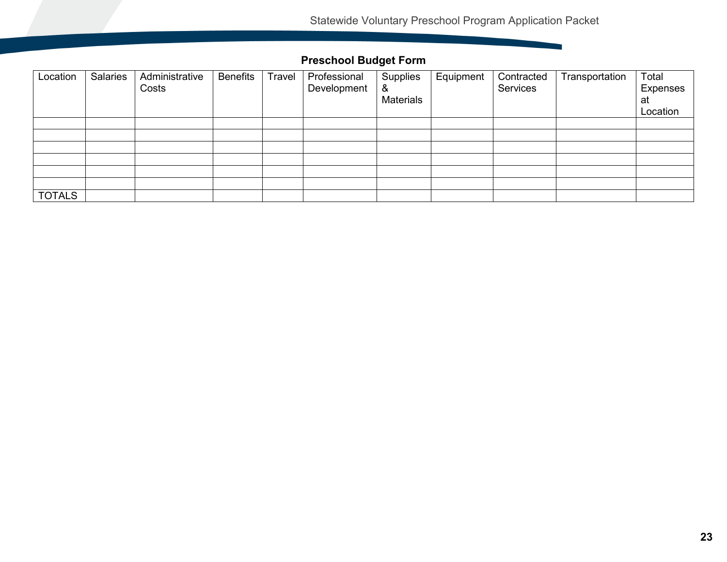**Contract Contract Contract** 

## **Preschool Budget Form**

<span id="page-22-0"></span>

| Location      | <b>Salaries</b> | Administrative<br>Costs | <b>Benefits</b> | Travel | Professional<br>Development | Supplies<br>&<br><b>Materials</b> | Equipment | Contracted<br>Services | Transportation | Total<br><b>Expenses</b><br>at |
|---------------|-----------------|-------------------------|-----------------|--------|-----------------------------|-----------------------------------|-----------|------------------------|----------------|--------------------------------|
|               |                 |                         |                 |        |                             |                                   |           |                        |                | Location                       |
|               |                 |                         |                 |        |                             |                                   |           |                        |                |                                |
|               |                 |                         |                 |        |                             |                                   |           |                        |                |                                |
|               |                 |                         |                 |        |                             |                                   |           |                        |                |                                |
|               |                 |                         |                 |        |                             |                                   |           |                        |                |                                |
|               |                 |                         |                 |        |                             |                                   |           |                        |                |                                |
|               |                 |                         |                 |        |                             |                                   |           |                        |                |                                |
| <b>TOTALS</b> |                 |                         |                 |        |                             |                                   |           |                        |                |                                |